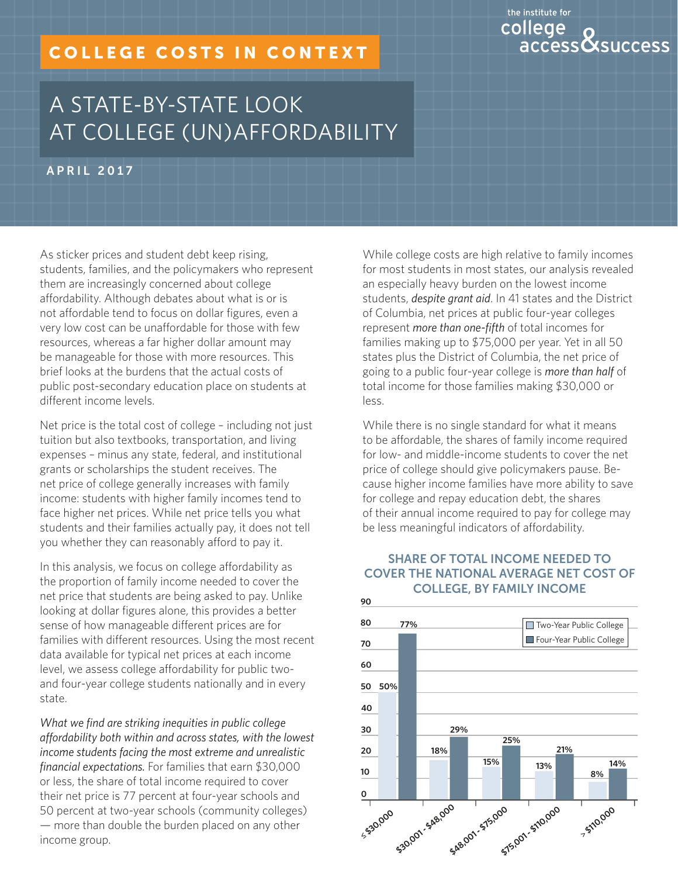# COLLEGE COSTS IN CONTEXT

# the institute for college access**Ö**success

# A STATE-BY-STATE LOOK AT COLLEGE (UN)AFFORDABILITY

APRIL 2017

As sticker prices and student debt keep rising, students, families, and the policymakers who represent them are increasingly concerned about college affordability. Although debates about what is or is not affordable tend to focus on dollar figures, even a very low cost can be unaffordable for those with few resources, whereas a far higher dollar amount may be manageable for those with more resources. This brief looks at the burdens that the actual costs of public post-secondary education place on students at different income levels.

Net price is the total cost of college – including not just tuition but also textbooks, transportation, and living expenses – minus any state, federal, and institutional grants or scholarships the student receives. The net price of college generally increases with family income: students with higher family incomes tend to face higher net prices. While net price tells you what students and their families actually pay, it does not tell you whether they can reasonably afford to pay it.

In this analysis, we focus on college affordability as the proportion of family income needed to cover the net price that students are being asked to pay. Unlike looking at dollar figures alone, this provides a better sense of how manageable different prices are for families with different resources. Using the most recent data available for typical net prices at each income level, we assess college affordability for public twoand four-year college students nationally and in every state.

*What we find are striking inequities in public college affordability both within and across states, with the lowest income students facing the most extreme and unrealistic financial expectations.* For families that earn \$30,000 or less, the share of total income required to cover their net price is 77 percent at four-year schools and 50 percent at two-year schools (community colleges) — more than double the burden placed on any other income group.

While college costs are high relative to family incomes for most students in most states, our analysis revealed an especially heavy burden on the lowest income students, *despite grant aid*. In 41 states and the District of Columbia, net prices at public four-year colleges represent *more than one-fifth* of total incomes for families making up to \$75,000 per year. Yet in all 50 states plus the District of Columbia, the net price of going to a public four-year college is *more than half* of total income for those families making \$30,000 or less.

While there is no single standard for what it means to be affordable, the shares of family income required for low- and middle-income students to cover the net price of college should give policymakers pause. Because higher income families have more ability to save for college and repay education debt, the shares of their annual income required to pay for college may be less meaningful indicators of affordability.

### SHARE OF TOTAL INCOME NEEDED TO COVER THE NATIONAL AVERAGE NET COST OF COLLEGE, BY FAMILY INCOME

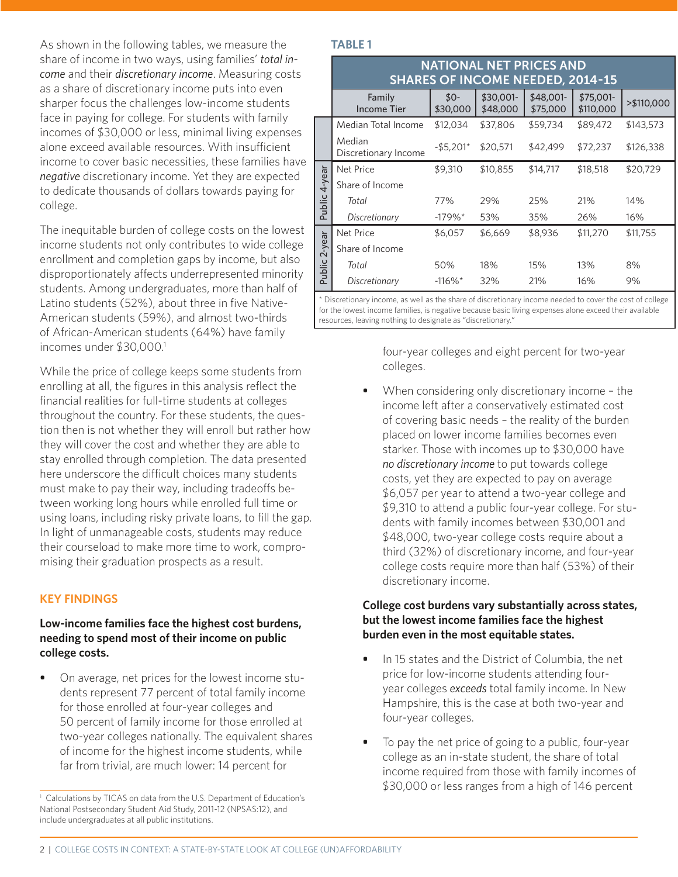As shown in the following tables, we measure the share of income in two ways, using families' *total income* and their *discretionary income*. Measuring costs as a share of discretionary income puts into even sharper focus the challenges low-income students face in paying for college. For students with family incomes of \$30,000 or less, minimal living expenses alone exceed available resources. With insufficient income to cover basic necessities, these families have *negative* discretionary income. Yet they are expected to dedicate thousands of dollars towards paying for college.

The inequitable burden of college costs on the lowest income students not only contributes to wide college enrollment and completion gaps by income, but also disproportionately affects underrepresented minority students. Among undergraduates, more than half of Latino students (52%), about three in five Native-American students (59%), and almost two-thirds of African-American students (64%) have family incomes under \$30,000.<sup>1</sup>

While the price of college keeps some students from enrolling at all, the figures in this analysis reflect the financial realities for full-time students at colleges throughout the country. For these students, the question then is not whether they will enroll but rather how they will cover the cost and whether they are able to stay enrolled through completion. The data presented here underscore the difficult choices many students must make to pay their way, including tradeoffs between working long hours while enrolled full time or using loans, including risky private loans, to fill the gap. In light of unmanageable costs, students may reduce their courseload to make more time to work, compromising their graduation prospects as a result.

#### **KEY FINDINGS**

#### **Low-income families face the highest cost burdens, needing to spend most of their income on public college costs.**

**•** On average, net prices for the lowest income students represent 77 percent of total family income for those enrolled at four-year colleges and 50 percent of family income for those enrolled at two-year colleges nationally. The equivalent shares of income for the highest income students, while far from trivial, are much lower: 14 percent for

#### **TABLE 1**

|               | <b>NATIONAL NET PRICES AND</b><br><b>SHARES OF INCOME NEEDED, 2014-15</b> |                       |                       |                       |                        |            |  |  |  |  |  |  |
|---------------|---------------------------------------------------------------------------|-----------------------|-----------------------|-----------------------|------------------------|------------|--|--|--|--|--|--|
|               | Family<br><b>Income Tier</b>                                              | $$0-$<br>\$30,000     | \$30,001-<br>\$48,000 | \$48,001-<br>\$75,000 | \$75,001-<br>\$110,000 | >\$110,000 |  |  |  |  |  |  |
|               | Median Total Income                                                       | \$12,034              | \$37,806              | \$59,734              | \$89,472               | \$143,573  |  |  |  |  |  |  |
|               | Median<br>Discretionary Income                                            | $-$5,201*$            | \$20,571              | \$42,499              | \$72,237               | \$126,338  |  |  |  |  |  |  |
|               | <b>Net Price</b>                                                          | \$9,310               | \$10,855              | \$14,717              | \$18,518               | \$20,729   |  |  |  |  |  |  |
|               | Share of Income                                                           |                       |                       |                       |                        |            |  |  |  |  |  |  |
| Public 4-year | Total                                                                     | 77%                   | 29%                   | 25%                   | 21%                    | 14%        |  |  |  |  |  |  |
|               | Discretionary                                                             | $-179\%$ <sup>*</sup> | 53%                   | 35%                   | 26%                    | 16%        |  |  |  |  |  |  |
|               | <b>Net Price</b>                                                          | \$6,057               | \$6,669               | \$8,936               | \$11,270               | \$11,755   |  |  |  |  |  |  |
| Public 2-year | Share of Income                                                           |                       |                       |                       |                        |            |  |  |  |  |  |  |
|               | Total                                                                     | 50%                   | 18%                   | 15%                   | 13%                    | 8%         |  |  |  |  |  |  |
|               | Discretionary                                                             | $-116\%$ <sup>*</sup> | 32%                   | 21%                   | 16%                    | 9%         |  |  |  |  |  |  |

\* Discretionary income, as well as the share of discretionary income needed to cover the cost of college for the lowest income families, is negative because basic living expenses alone exceed their available resources, leaving nothing to designate as "discretionary."

> four-year colleges and eight percent for two-year colleges.

**•** When considering only discretionary income – the income left after a conservatively estimated cost of covering basic needs – the reality of the burden placed on lower income families becomes even starker. Those with incomes up to \$30,000 have *no discretionary income* to put towards college costs, yet they are expected to pay on average \$6,057 per year to attend a two-year college and \$9,310 to attend a public four-year college. For students with family incomes between \$30,001 and \$48,000, two-year college costs require about a third (32%) of discretionary income, and four-year college costs require more than half (53%) of their discretionary income.

#### **College cost burdens vary substantially across states, but the lowest income families face the highest burden even in the most equitable states.**

- **•** In 15 states and the District of Columbia, the net price for low-income students attending fouryear colleges *exceeds* total family income. In New Hampshire, this is the case at both two-year and four-year colleges.
- **•** To pay the net price of going to a public, four-year college as an in-state student, the share of total income required from those with family incomes of \$30,000 or less ranges from a high of 146 percent

<sup>&</sup>lt;sup>1</sup> Calculations by TICAS on data from the U.S. Department of Education's National Postsecondary Student Aid Study, 2011-12 (NPSAS:12), and include undergraduates at all public institutions.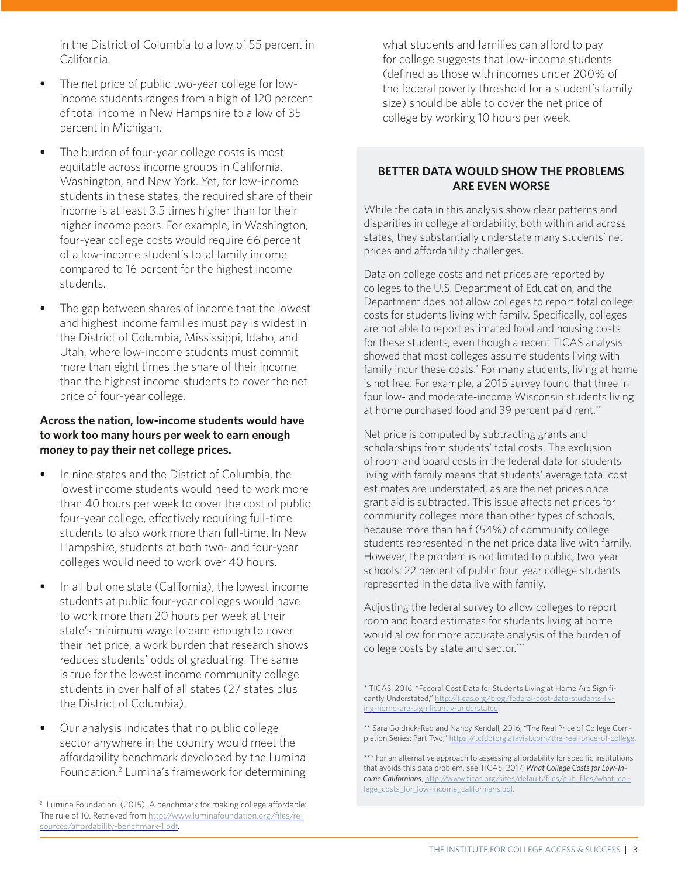in the District of Columbia to a low of 55 percent in California.

- **•** The net price of public two-year college for lowincome students ranges from a high of 120 percent of total income in New Hampshire to a low of 35 percent in Michigan.
- **•** The burden of four-year college costs is most equitable across income groups in California, Washington, and New York. Yet, for low-income students in these states, the required share of their income is at least 3.5 times higher than for their higher income peers. For example, in Washington, four-year college costs would require 66 percent of a low-income student's total family income compared to 16 percent for the highest income students.
- **•** The gap between shares of income that the lowest and highest income families must pay is widest in the District of Columbia, Mississippi, Idaho, and Utah, where low-income students must commit more than eight times the share of their income than the highest income students to cover the net price of four-year college.

### **Across the nation, low-income students would have to work too many hours per week to earn enough money to pay their net college prices.**

- **•** In nine states and the District of Columbia, the lowest income students would need to work more than 40 hours per week to cover the cost of public four-year college, effectively requiring full-time students to also work more than full-time. In New Hampshire, students at both two- and four-year colleges would need to work over 40 hours.
- **•** In all but one state (California), the lowest income students at public four-year colleges would have to work more than 20 hours per week at their state's minimum wage to earn enough to cover their net price, a work burden that research shows reduces students' odds of graduating. The same is true for the lowest income community college students in over half of all states (27 states plus the District of Columbia).
- **•** Our analysis indicates that no public college sector anywhere in the country would meet the affordability benchmark developed by the Lumina Foundation.<sup>2</sup> Lumina's framework for determining

what students and families can afford to pay for college suggests that low-income students (defined as those with incomes under 200% of the federal poverty threshold for a student's family size) should be able to cover the net price of college by working 10 hours per week.

# **BETTER DATA WOULD SHOW THE PROBLEMS ARE EVEN WORSE**

While the data in this analysis show clear patterns and disparities in college affordability, both within and across states, they substantially understate many students' net prices and affordability challenges.

Data on college costs and net prices are reported by colleges to the U.S. Department of Education, and the Department does not allow colleges to report total college costs for students living with family. Specifically, colleges are not able to report estimated food and housing costs for these students, even though a recent TICAS analysis showed that most colleges assume students living with family incur these costs.<sup>\*</sup> For many students, living at home is not free. For example, a 2015 survey found that three in four low- and moderate-income Wisconsin students living at home purchased food and 39 percent paid rent.\*\*

Net price is computed by subtracting grants and scholarships from students' total costs. The exclusion of room and board costs in the federal data for students living with family means that students' average total cost estimates are understated, as are the net prices once grant aid is subtracted. This issue affects net prices for community colleges more than other types of schools, because more than half (54%) of community college students represented in the net price data live with family. However, the problem is not limited to public, two-year schools: 22 percent of public four-year college students represented in the data live with family.

Adjusting the federal survey to allow colleges to report room and board estimates for students living at home would allow for more accurate analysis of the burden of college costs by state and sector.\*\*\*

<sup>&</sup>lt;sup>2</sup> Lumina Foundation. (2015). A benchmark for making college affordable: [The rule of 10. Retrieved from http://www.luminafoundation.org/files/re](https://www.luminafoundation.org/files/resources/affordability-benchmark-1.pdf)sources/affordability-benchmark-1.pdf.

<sup>\*</sup> TICAS, 2016, "Federal Cost Data for Students Living at Home Are Significantly Understated," http://ticas.org/blog/federal-cost-data-students-livi[ng-home-are-significantly-understated.](http://ticas.org/blog/federal-cost-data-students-living-home-are-significantly-understated) 

<sup>\*\*</sup> Sara Goldrick-Rab and Nancy Kendall, 2016, "The Real Price of College Completion Series: Part Two," https://tcfdotorg.atavist.com/the-real-price-of-college.

<sup>\*\*\*</sup> For an alternative approach to assessing affordability for specific institutions that avoids this data problem, see TICAS, 2017, *What College Costs for Low-Income Californians*[, http://www.ticas.org/sites/default/files/pub\\_files/what\\_col](http://www.ticas.org/sites/default/files/pub_files/what_college_costs_for_low-income_californians.pdf)lege\_costs\_for\_low-income\_californians.pdf.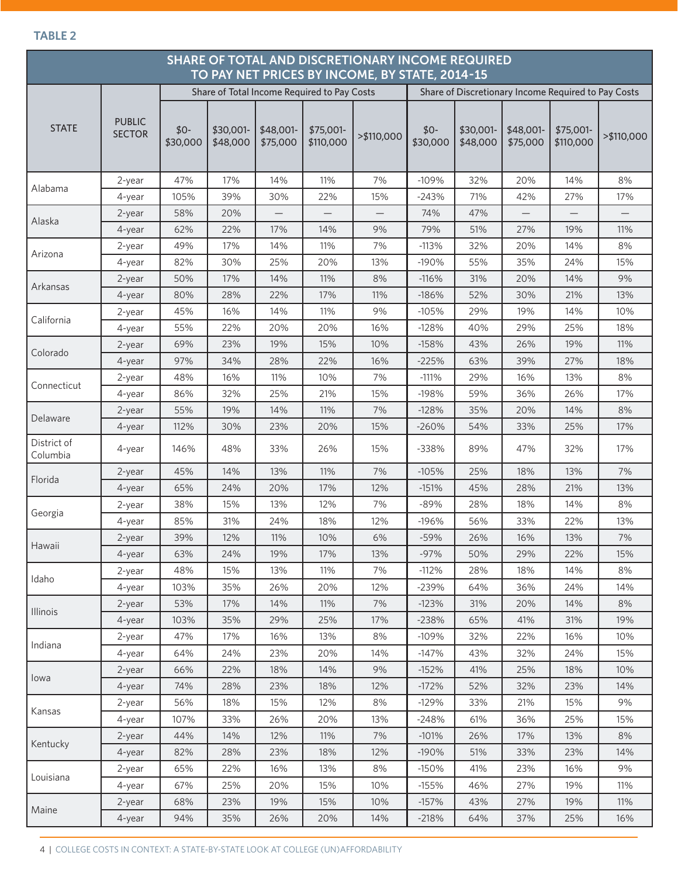#### **TABLE 2**

| SHARE OF TOTAL AND DISCRETIONARY INCOME REQUIRED<br>TO PAY NET PRICES BY INCOME, BY STATE, 2014-15 |                                |                   |                       |                       |                        |                          |                   |                       |                       |                        |            |
|----------------------------------------------------------------------------------------------------|--------------------------------|-------------------|-----------------------|-----------------------|------------------------|--------------------------|-------------------|-----------------------|-----------------------|------------------------|------------|
| Share of Discretionary Income Required to Pay Costs<br>Share of Total Income Required to Pay Costs |                                |                   |                       |                       |                        |                          |                   |                       |                       |                        |            |
| <b>STATE</b>                                                                                       | <b>PUBLIC</b><br><b>SECTOR</b> | $$0-$<br>\$30,000 | \$30,001-<br>\$48,000 | \$48,001-<br>\$75,000 | \$75,001-<br>\$110,000 | >\$110,000               | $$0-$<br>\$30,000 | \$30,001-<br>\$48,000 | \$48,001-<br>\$75,000 | \$75,001-<br>\$110,000 | >\$110,000 |
|                                                                                                    | 2-year                         | 47%               | 17%                   | 14%                   | 11%                    | 7%                       | $-109%$           | 32%                   | 20%                   | 14%                    | 8%         |
| Alabama                                                                                            | 4-year                         | 105%              | 39%                   | 30%                   | 22%                    | 15%                      | $-243%$           | 71%                   | 42%                   | 27%                    | 17%        |
|                                                                                                    | 2-year                         | 58%               | 20%                   |                       |                        | $\overline{\phantom{0}}$ | 74%               | 47%                   |                       |                        |            |
| Alaska                                                                                             | 4-year                         | 62%               | 22%                   | 17%                   | 14%                    | 9%                       | 79%               | 51%                   | 27%                   | 19%                    | 11%        |
| Arizona                                                                                            | 2-year                         | 49%               | 17%                   | 14%                   | 11%                    | 7%                       | $-113%$           | 32%                   | 20%                   | 14%                    | 8%         |
|                                                                                                    | 4-year                         | 82%               | 30%                   | 25%                   | 20%                    | 13%                      | $-190%$           | 55%                   | 35%                   | 24%                    | 15%        |
| Arkansas                                                                                           | 2-year                         | 50%               | 17%                   | 14%                   | 11%                    | 8%                       | $-116%$           | 31%                   | 20%                   | 14%                    | 9%         |
|                                                                                                    | 4-year                         | 80%               | 28%                   | 22%                   | 17%                    | 11%                      | $-186%$           | 52%                   | 30%                   | 21%                    | 13%        |
| California                                                                                         | 2-year                         | 45%               | 16%                   | 14%                   | 11%                    | 9%                       | $-105%$           | 29%                   | 19%                   | 14%                    | 10%        |
|                                                                                                    | 4-year                         | 55%               | 22%                   | 20%                   | 20%                    | 16%                      | $-128%$           | 40%                   | 29%                   | 25%                    | 18%        |
| Colorado                                                                                           | $2$ -year                      | 69%               | 23%                   | 19%                   | 15%                    | 10%                      | $-158%$           | 43%                   | 26%                   | 19%                    | 11%        |
|                                                                                                    | 4-year                         | 97%               | 34%                   | 28%                   | 22%                    | 16%                      | $-225%$           | 63%                   | 39%                   | 27%                    | 18%        |
| Connecticut                                                                                        | 2-year                         | 48%               | 16%                   | 11%                   | 10%                    | 7%                       | $-111%$           | 29%                   | 16%                   | 13%                    | 8%         |
|                                                                                                    | 4-year                         | 86%               | 32%                   | 25%                   | 21%                    | 15%                      | $-198%$           | 59%                   | 36%                   | 26%                    | 17%        |
| Delaware                                                                                           | $2$ -year                      | 55%               | 19%                   | 14%                   | 11%                    | 7%                       | $-128%$           | 35%                   | 20%                   | 14%                    | 8%         |
|                                                                                                    | $4$ -year                      | 112%              | 30%                   | 23%                   | 20%                    | 15%                      | $-260%$           | 54%                   | 33%                   | 25%                    | 17%        |
| District of<br>Columbia                                                                            | 4-year                         | 146%              | 48%                   | 33%                   | 26%                    | 15%                      | -338%             | 89%                   | 47%                   | 32%                    | 17%        |
| Florida                                                                                            | $2$ -year                      | 45%               | 14%                   | 13%                   | 11%                    | 7%                       | $-105%$           | 25%                   | 18%                   | 13%                    | 7%         |
|                                                                                                    | 4-year                         | 65%               | 24%                   | 20%                   | 17%                    | 12%                      | $-151%$           | 45%                   | 28%                   | 21%                    | 13%        |
| Georgia                                                                                            | 2-year                         | 38%               | 15%                   | 13%                   | 12%                    | 7%                       | $-89%$            | 28%                   | 18%                   | 14%                    | 8%         |
|                                                                                                    | 4-year                         | 85%               | 31%                   | 24%                   | 18%                    | 12%                      | $-196%$           | 56%                   | 33%                   | 22%                    | 13%        |
| Hawaii                                                                                             | 2-year                         | 39%               | 12%                   | 11%                   | 10%                    | 6%                       | $-59%$            | 26%                   | 16%                   | 13%                    | 7%         |
|                                                                                                    | 4-year                         | 63%               | 24%                   | 19%                   | 17%                    | 13%                      | $-97%$            | 50%                   | 29%                   | 22%                    | 15%        |
| Idaho                                                                                              | 2-year                         | 48%               | 15%                   | 13%                   | 11%                    | 7%                       | $-112%$           | 28%                   | 18%                   | 14%                    | 8%         |
|                                                                                                    | 4-year                         | 103%              | 35%                   | 26%                   | 20%                    | 12%                      | $-239%$           | 64%                   | 36%                   | 24%                    | 14%        |
| Illinois                                                                                           | 2-year                         | 53%               | 17%                   | 14%                   | 11%                    | 7%                       | $-123%$           | 31%                   | 20%                   | 14%                    | $8\%$      |
|                                                                                                    | 4-year                         | 103%              | 35%                   | 29%                   | 25%                    | 17%                      | $-238%$           | 65%                   | 41%                   | 31%                    | 19%        |
| Indiana                                                                                            | 2-year                         | 47%               | 17%                   | 16%                   | 13%                    | 8%                       | $-109%$           | 32%                   | 22%                   | 16%                    | 10%        |
|                                                                                                    | 4-year                         | 64%               | 24%                   | 23%                   | 20%                    | 14%                      | $-147%$           | 43%                   | 32%                   | 24%                    | 15%        |
| lowa                                                                                               | 2-year                         | 66%               | 22%                   | 18%                   | 14%                    | 9%                       | $-152%$           | 41%                   | 25%                   | 18%                    | 10%        |
|                                                                                                    | 4-year                         | 74%               | 28%                   | 23%                   | 18%                    | 12%                      | $-172%$           | 52%                   | 32%                   | 23%                    | 14%        |
| Kansas                                                                                             | 2-year                         | 56%               | 18%                   | 15%                   | 12%                    | 8%                       | $-129%$           | 33%                   | 21%                   | 15%                    | 9%         |
|                                                                                                    | 4-year                         | 107%              | 33%                   | 26%                   | 20%                    | 13%                      | $-248%$           | 61%                   | 36%                   | 25%                    | 15%        |
| Kentucky                                                                                           | 2-year                         | 44%               | 14%                   | 12%                   | 11%                    | 7%                       | $-101%$           | 26%                   | 17%                   | 13%                    | $8\%$      |
|                                                                                                    | 4-year                         | 82%               | 28%                   | 23%                   | 18%                    | 12%                      | $-190%$           | 51%                   | 33%                   | 23%                    | 14%        |
| Louisiana                                                                                          | 2-year                         | 65%               | 22%                   | 16%                   | 13%                    | 8%                       | $-150%$           | 41%                   | 23%                   | 16%                    | 9%         |
|                                                                                                    | 4-year                         | 67%               | 25%                   | 20%                   | 15%                    | 10%                      | $-155%$           | 46%                   | 27%                   | 19%                    | 11%        |
| Maine                                                                                              | 2-year                         | 68%               | 23%                   | 19%                   | 15%                    | 10%                      | $-157%$           | 43%                   | 27%                   | 19%                    | 11%        |
|                                                                                                    | 4-year                         | 94%               | 35%                   | 26%                   | 20%                    | 14%                      | $-218%$           | 64%                   | 37%                   | 25%                    | 16%        |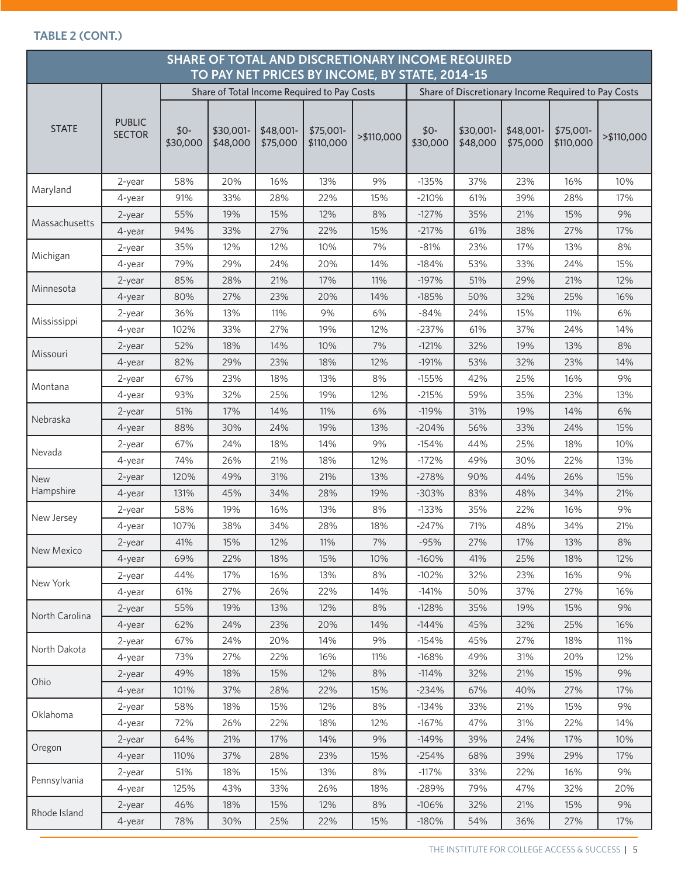#### **TABLE 2 (CONT.)**

| SHARE OF TOTAL AND DISCRETIONARY INCOME REQUIRED<br>TO PAY NET PRICES BY INCOME, BY STATE, 2014-15 |                                |                   |                       |                       |                        |            |                   |                       |                       |                                                     |            |
|----------------------------------------------------------------------------------------------------|--------------------------------|-------------------|-----------------------|-----------------------|------------------------|------------|-------------------|-----------------------|-----------------------|-----------------------------------------------------|------------|
| Share of Total Income Required to Pay Costs                                                        |                                |                   |                       |                       |                        |            |                   |                       |                       | Share of Discretionary Income Required to Pay Costs |            |
| <b>STATE</b>                                                                                       | <b>PUBLIC</b><br><b>SECTOR</b> | $$0-$<br>\$30,000 | \$30,001-<br>\$48,000 | \$48,001-<br>\$75,000 | \$75,001-<br>\$110,000 | >\$110,000 | $$0-$<br>\$30,000 | \$30,001-<br>\$48,000 | \$48,001-<br>\$75,000 | \$75,001-<br>\$110,000                              | >\$110,000 |
|                                                                                                    | 2-year                         | 58%               | 20%                   | 16%                   | 13%                    | 9%         | $-135%$           | 37%                   | 23%                   | 16%                                                 | 10%        |
| Maryland                                                                                           | 4-year                         | 91%               | 33%                   | 28%                   | 22%                    | 15%        | $-210%$           | 61%                   | 39%                   | 28%                                                 | 17%        |
| Massachusetts                                                                                      | $2$ -year                      | 55%               | 19%                   | 15%                   | 12%                    | 8%         | $-127%$           | 35%                   | 21%                   | 15%                                                 | 9%         |
|                                                                                                    | 4-year                         | 94%               | 33%                   | 27%                   | 22%                    | 15%        | $-217%$           | 61%                   | 38%                   | 27%                                                 | 17%        |
| Michigan                                                                                           | 2-year                         | 35%               | 12%                   | 12%                   | 10%                    | 7%         | $-81%$            | 23%                   | 17%                   | 13%                                                 | 8%         |
|                                                                                                    | 4-year                         | 79%               | 29%                   | 24%                   | 20%                    | 14%        | $-184%$           | 53%                   | 33%                   | 24%                                                 | 15%        |
| Minnesota                                                                                          | 2-year                         | 85%               | 28%                   | 21%                   | 17%                    | 11%        | $-197%$           | 51%                   | 29%                   | 21%                                                 | 12%        |
|                                                                                                    | 4-year                         | 80%               | 27%                   | 23%                   | 20%                    | 14%        | $-185%$           | 50%                   | 32%                   | 25%                                                 | 16%        |
| Mississippi                                                                                        | 2-year                         | 36%               | 13%                   | 11%                   | 9%                     | 6%         | $-84%$            | 24%                   | 15%                   | 11%                                                 | 6%         |
|                                                                                                    | 4-year                         | 102%              | 33%                   | 27%                   | 19%                    | 12%        | $-237%$           | 61%                   | 37%                   | 24%                                                 | 14%        |
| Missouri                                                                                           | $2$ -year                      | 52%               | 18%                   | 14%                   | 10%                    | 7%         | $-121%$           | 32%                   | 19%                   | 13%                                                 | 8%         |
|                                                                                                    | $4$ -year                      | 82%               | 29%                   | 23%                   | 18%                    | 12%        | $-191%$           | 53%                   | 32%                   | 23%                                                 | 14%        |
| Montana                                                                                            | 2-year                         | 67%               | 23%                   | 18%                   | 13%                    | 8%         | $-155%$           | 42%                   | 25%                   | 16%                                                 | 9%         |
|                                                                                                    | 4-year                         | 93%               | 32%                   | 25%                   | 19%                    | 12%        | $-215%$           | 59%                   | 35%                   | 23%                                                 | 13%        |
| Nebraska                                                                                           | $2$ -year                      | 51%               | 17%                   | 14%                   | 11%                    | 6%         | $-119%$           | 31%                   | 19%                   | 14%                                                 | 6%         |
|                                                                                                    | 4-year                         | 88%               | 30%                   | 24%                   | 19%                    | 13%        | $-204%$           | 56%                   | 33%                   | 24%                                                 | 15%        |
| Nevada                                                                                             | 2-year                         | 67%               | 24%                   | 18%                   | 14%                    | 9%         | $-154%$           | 44%                   | 25%                   | 18%                                                 | 10%        |
|                                                                                                    | 4-year                         | 74%               | 26%                   | 21%                   | 18%                    | 12%        | $-172%$           | 49%                   | 30%                   | 22%                                                 | 13%        |
| New                                                                                                | 2-year                         | 120%              | 49%                   | 31%                   | 21%                    | 13%        | $-278%$           | 90%                   | 44%                   | 26%                                                 | 15%        |
| Hampshire                                                                                          | 4-year                         | 131%              | 45%                   | 34%                   | 28%                    | 19%        | $-303%$           | 83%                   | 48%                   | 34%                                                 | 21%        |
| New Jersey                                                                                         | 2-year                         | 58%               | 19%                   | 16%                   | 13%                    | 8%         | $-133%$           | 35%                   | 22%                   | 16%                                                 | 9%         |
|                                                                                                    | 4-year                         | 107%              | 38%                   | 34%                   | 28%                    | 18%        | $-247%$           | 71%                   | 48%                   | 34%                                                 | 21%        |
| New Mexico                                                                                         | 2-year                         | 41%               | 15%                   | 12%                   | 11%                    | 7%         | $-95%$            | 27%                   | 17%                   | 13%                                                 | $8%$       |
|                                                                                                    | 4-year                         | 69%               | 22%                   | 18%                   | 15%                    | 10%        | $-160%$           | 41%                   | 25%                   | 18%                                                 | 12%        |
| New York                                                                                           | 2-year                         | 44%               | 17%                   | 16%                   | 13%                    | 8%         | $-102%$           | 32%                   | 23%                   | 16%                                                 | 9%         |
|                                                                                                    | 4-year                         | 61%               | 27%                   | 26%                   | 22%                    | 14%        | $-141%$           | 50%                   | 37%                   | 27%                                                 | 16%        |
| North Carolina                                                                                     | 2-year                         | 55%               | 19%                   | 13%                   | 12%                    | 8%         | $-128%$           | 35%                   | 19%                   | 15%                                                 | 9%         |
|                                                                                                    | 4-year                         | 62%               | 24%                   | 23%                   | 20%                    | 14%        | $-144%$           | 45%                   | 32%                   | 25%                                                 | 16%        |
| North Dakota                                                                                       | 2-year                         | 67%               | 24%                   | 20%                   | 14%                    | 9%         | $-154%$           | 45%                   | 27%                   | 18%                                                 | 11%        |
|                                                                                                    | 4-year                         | 73%               | 27%                   | 22%                   | 16%                    | 11%        | $-168%$           | 49%                   | 31%                   | 20%                                                 | 12%        |
| Ohio                                                                                               | 2-year                         | 49%               | 18%                   | 15%                   | 12%                    | 8%         | $-114%$           | 32%                   | 21%                   | 15%                                                 | 9%         |
|                                                                                                    | 4-year                         | 101%              | 37%                   | 28%                   | 22%                    | 15%        | $-234%$           | 67%                   | 40%                   | 27%                                                 | 17%        |
| Oklahoma                                                                                           | 2-year                         | 58%               | 18%                   | 15%                   | 12%                    | 8%         | $-134%$           | 33%                   | 21%                   | 15%                                                 | 9%         |
|                                                                                                    | 4-year                         | 72%               | 26%                   | 22%                   | 18%                    | 12%        | $-167%$           | 47%                   | 31%                   | 22%                                                 | 14%        |
| Oregon                                                                                             | 2-year                         | 64%               | 21%                   | 17%                   | 14%                    | 9%         | $-149%$           | 39%                   | 24%                   | 17%                                                 | 10%        |
|                                                                                                    | 4-year                         | 110%              | 37%                   | 28%                   | 23%                    | 15%        | $-254%$           | 68%                   | 39%                   | 29%                                                 | 17%        |
| Pennsylvania                                                                                       | 2-year                         | 51%               | 18%                   | 15%                   | 13%                    | 8%         | $-117%$           | 33%                   | 22%                   | 16%                                                 | 9%         |
|                                                                                                    | 4-year                         | 125%              | 43%                   | 33%                   | 26%                    | 18%        | -289%             | 79%                   | 47%                   | 32%                                                 | 20%        |
| Rhode Island                                                                                       | 2-year                         | 46%               | 18%                   | 15%                   | 12%                    | 8%         | $-106%$           | 32%                   | 21%                   | 15%                                                 | 9%         |
|                                                                                                    | 4-year                         | 78%               | 30%                   | 25%                   | 22%                    | 15%        | $-180%$           | 54%                   | 36%                   | 27%                                                 | 17%        |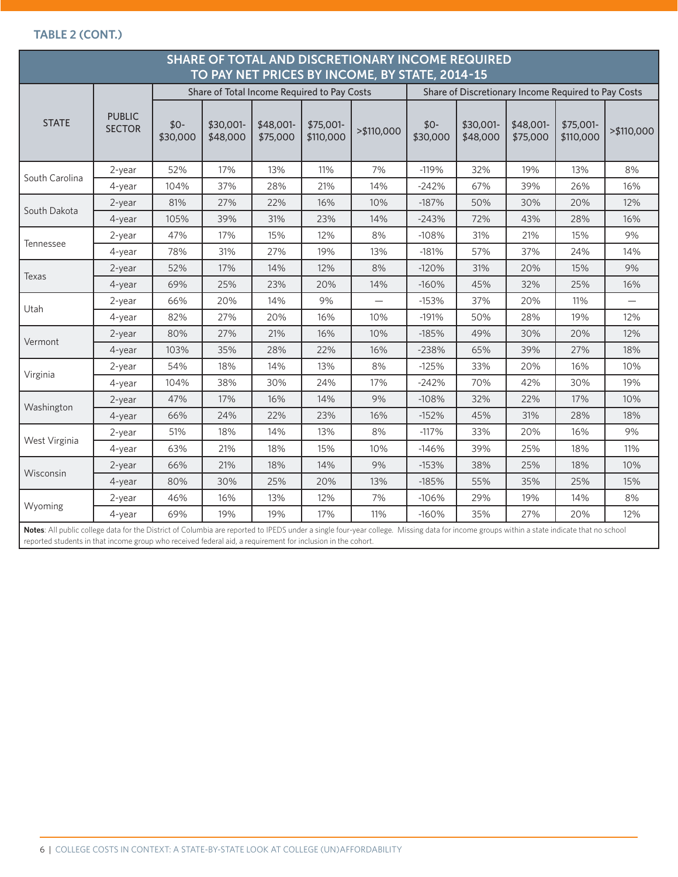## **TABLE 2 (CONT.)**

| TO PAY NET PRICES BY INCOME, BY STATE, 2014-15<br>Share of Total Income Required to Pay Costs<br>Share of Discretionary Income Required to Pay Costs |                                |                   |                       |                       |                        |             |                   |                       |                       |                        |            |
|------------------------------------------------------------------------------------------------------------------------------------------------------|--------------------------------|-------------------|-----------------------|-----------------------|------------------------|-------------|-------------------|-----------------------|-----------------------|------------------------|------------|
| <b>STATE</b>                                                                                                                                         | <b>PUBLIC</b><br><b>SECTOR</b> | $$0-$<br>\$30,000 | \$30,001-<br>\$48,000 | \$48,001-<br>\$75,000 | \$75,001-<br>\$110,000 | > \$110,000 | $$0-$<br>\$30,000 | \$30,001-<br>\$48,000 | \$48,001-<br>\$75,000 | \$75,001-<br>\$110,000 | >\$110,000 |
|                                                                                                                                                      | 2-year                         | 52%               | 17%                   | 13%                   | 11%                    | 7%          | $-119%$           | 32%                   | 19%                   | 13%                    | 8%         |
| South Carolina                                                                                                                                       | $4$ -year                      | 104%              | 37%                   | 28%                   | 21%                    | 14%         | $-242%$           | 67%                   | 39%                   | 26%                    | 16%        |
| South Dakota                                                                                                                                         | 2-year                         | 81%               | 27%                   | 22%                   | 16%                    | 10%         | $-187%$           | 50%                   | 30%                   | 20%                    | 12%        |
|                                                                                                                                                      | 4-year                         | 105%              | 39%                   | 31%                   | 23%                    | 14%         | $-243%$           | 72%                   | 43%                   | 28%                    | 16%        |
|                                                                                                                                                      | 2-year                         | 47%               | 17%                   | 15%                   | 12%                    | 8%          | $-108%$           | 31%                   | 21%                   | 15%                    | 9%         |
| Tennessee                                                                                                                                            | $4$ -year                      | 78%               | 31%                   | 27%                   | 19%                    | 13%         | $-181%$           | 57%                   | 37%                   | 24%                    | 14%        |
|                                                                                                                                                      | 2-year                         | 52%               | 17%                   | 14%                   | 12%                    | 8%          | $-120%$           | 31%                   | 20%                   | 15%                    | 9%         |
| Texas                                                                                                                                                | $4$ -year                      | 69%               | 25%                   | 23%                   | 20%                    | 14%         | $-160%$           | 45%                   | 32%                   | 25%                    | 16%        |
|                                                                                                                                                      | 2-year                         | 66%               | 20%                   | 14%                   | 9%                     |             | $-153%$           | 37%                   | 20%                   | 11%                    |            |
| Utah                                                                                                                                                 | $4$ -year                      | 82%               | 27%                   | 20%                   | 16%                    | 10%         | $-191%$           | 50%                   | 28%                   | 19%                    | 12%        |
|                                                                                                                                                      | $2$ -year                      | 80%               | 27%                   | 21%                   | 16%                    | 10%         | $-185%$           | 49%                   | 30%                   | 20%                    | 12%        |
| Vermont                                                                                                                                              | 4-year                         | 103%              | 35%                   | 28%                   | 22%                    | 16%         | $-238%$           | 65%                   | 39%                   | 27%                    | 18%        |
|                                                                                                                                                      | 2-year                         | 54%               | 18%                   | 14%                   | 13%                    | 8%          | $-125%$           | 33%                   | 20%                   | 16%                    | 10%        |
| Virginia                                                                                                                                             | 4-year                         | 104%              | 38%                   | 30%                   | 24%                    | 17%         | $-242%$           | 70%                   | 42%                   | 30%                    | 19%        |
|                                                                                                                                                      | $2$ -year                      | 47%               | 17%                   | 16%                   | 14%                    | 9%          | $-108%$           | 32%                   | 22%                   | 17%                    | 10%        |
| Washington                                                                                                                                           | 4-year                         | 66%               | 24%                   | 22%                   | 23%                    | 16%         | $-152%$           | 45%                   | 31%                   | 28%                    | 18%        |
|                                                                                                                                                      | 2-year                         | 51%               | 18%                   | 14%                   | 13%                    | 8%          | $-117%$           | 33%                   | 20%                   | 16%                    | 9%         |
| West Virginia                                                                                                                                        | 4-year                         | 63%               | 21%                   | 18%                   | 15%                    | 10%         | $-146%$           | 39%                   | 25%                   | 18%                    | 11%        |
|                                                                                                                                                      | 2-year                         | 66%               | 21%                   | 18%                   | 14%                    | 9%          | $-153%$           | 38%                   | 25%                   | 18%                    | 10%        |
| Wisconsin                                                                                                                                            | 4-year                         | 80%               | 30%                   | 25%                   | 20%                    | 13%         | $-185%$           | 55%                   | 35%                   | 25%                    | 15%        |
|                                                                                                                                                      | 2-year                         | 46%               | 16%                   | 13%                   | 12%                    | 7%          | $-106%$           | 29%                   | 19%                   | 14%                    | 8%         |
| Wyoming                                                                                                                                              | 4-year                         | 69%               | 19%                   | 19%                   | 17%                    | 11%         | $-160%$           | 35%                   | 27%                   | 20%                    | 12%        |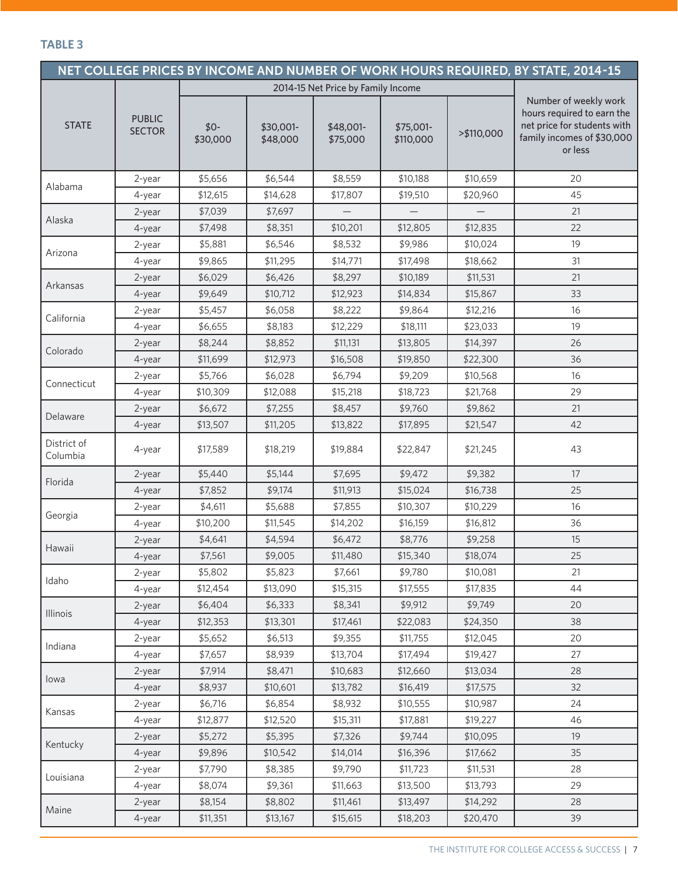#### **TABLE 3**

|                         |                                |                                    |                       |                       |                        |            | NET COLLEGE PRICES BY INCOME AND NUMBER OF WORK HOURS REQUIRED, BY STATE, 2014-15                                           |  |  |  |
|-------------------------|--------------------------------|------------------------------------|-----------------------|-----------------------|------------------------|------------|-----------------------------------------------------------------------------------------------------------------------------|--|--|--|
|                         |                                | 2014-15 Net Price by Family Income |                       |                       |                        |            |                                                                                                                             |  |  |  |
| <b>STATE</b>            | <b>PUBLIC</b><br><b>SECTOR</b> | $$0-$<br>\$30,000                  | \$30,001-<br>\$48,000 | \$48,001-<br>\$75,000 | \$75,001-<br>\$110,000 | >\$110,000 | Number of weekly work<br>hours required to earn the<br>net price for students with<br>family incomes of \$30,000<br>or less |  |  |  |
|                         | 2-year                         | \$5,656                            | \$6,544               | \$8,559               | \$10,188               | \$10,659   | 20                                                                                                                          |  |  |  |
| Alabama                 | 4-year                         | \$12,615                           | \$14,628              | \$17,807              | \$19,510               | \$20,960   | 45                                                                                                                          |  |  |  |
|                         | $2$ -year                      | \$7,039                            | \$7,697               |                       |                        |            | 21                                                                                                                          |  |  |  |
| Alaska                  | 4-year                         | \$7,498                            | \$8,351               | \$10,201              | \$12,805               | \$12,835   | 22                                                                                                                          |  |  |  |
| Arizona                 | 2-year                         | \$5,881                            | \$6,546               | \$8,532               | \$9,986                | \$10,024   | 19                                                                                                                          |  |  |  |
|                         | 4-year                         | \$9,865                            | \$11,295              | \$14,771              | \$17,498               | \$18,662   | 31                                                                                                                          |  |  |  |
| Arkansas                | 2-year                         | \$6,029                            | \$6,426               | \$8,297               | \$10,189               | \$11,531   | 21                                                                                                                          |  |  |  |
|                         | 4-year                         | \$9,649                            | \$10,712              | \$12,923              | \$14,834               | \$15,867   | 33                                                                                                                          |  |  |  |
| California              | 2-year                         | \$5,457                            | \$6,058               | \$8,222               | \$9,864                | \$12,216   | 16                                                                                                                          |  |  |  |
|                         | 4-year                         | \$6,655                            | \$8,183               | \$12,229              | \$18,111               | \$23,033   | 19                                                                                                                          |  |  |  |
| Colorado                | 2-year                         | \$8,244                            | \$8,852               | \$11,131              | \$13,805               | \$14,397   | 26                                                                                                                          |  |  |  |
|                         | 4-year                         | \$11,699                           | \$12,973              | \$16,508              | \$19,850               | \$22,300   | 36                                                                                                                          |  |  |  |
| Connecticut             | 2-year                         | \$5,766                            | \$6,028               | \$6,794               | \$9,209                | \$10,568   | 16                                                                                                                          |  |  |  |
|                         | 4-year                         | \$10,309                           | \$12,088              | \$15,218              | \$18,723               | \$21,768   | 29                                                                                                                          |  |  |  |
| Delaware                | 2-year                         | \$6,672                            | \$7,255               | \$8,457               | \$9,760                | \$9,862    | 21                                                                                                                          |  |  |  |
|                         | 4-year                         | \$13,507                           | \$11,205              | \$13,822              | \$17,895               | \$21,547   | 42                                                                                                                          |  |  |  |
| District of<br>Columbia | 4-year                         | \$17,589                           | \$18,219              | \$19,884              | \$22,847               | \$21,245   | 43                                                                                                                          |  |  |  |
|                         | 2-year                         | \$5,440                            | \$5,144               | \$7,695               | \$9,472                | \$9,382    | 17                                                                                                                          |  |  |  |
| Florida                 | 4-year                         | \$7,852                            | \$9,174               | \$11,913              | \$15,024               | \$16,738   | 25                                                                                                                          |  |  |  |
|                         | 2-year                         | \$4,611                            | \$5,688               | \$7,855               | \$10,307               | \$10,229   | 16                                                                                                                          |  |  |  |
| Georgia                 | 4-year                         | \$10,200                           | \$11,545              | \$14,202              | \$16,159               | \$16,812   | 36                                                                                                                          |  |  |  |
|                         | 2-year                         | \$4,641                            | \$4,594               | \$6,472               | \$8,776                | \$9,258    | 15                                                                                                                          |  |  |  |
| Hawaii                  | 4-year                         | \$7,561                            | \$9,005               | \$11,480              | \$15,340               | \$18,074   | 25                                                                                                                          |  |  |  |
| Idaho                   | 2-year                         | \$5,802                            | \$5,823               | \$7,661               | \$9,780                | \$10,081   | 21                                                                                                                          |  |  |  |
|                         | 4-year                         | \$12,454                           | \$13,090              | \$15,315              | \$17,555               | \$17,835   | 44                                                                                                                          |  |  |  |
| Illinois                | 2-year                         | \$6,404                            | \$6,333               | \$8,341               | \$9,912                | \$9,749    | 20                                                                                                                          |  |  |  |
|                         | 4-year                         | \$12,353                           | \$13,301              | \$17,461              | \$22,083               | \$24,350   | 38                                                                                                                          |  |  |  |
| Indiana                 | 2-year                         | \$5,652                            | \$6,513               | \$9,355               | \$11,755               | \$12,045   | 20                                                                                                                          |  |  |  |
|                         | 4-year                         | \$7,657                            | \$8,939               | \$13,704              | \$17,494               | \$19,427   | 27                                                                                                                          |  |  |  |
|                         | 2-year                         | \$7,914                            | \$8,471               | \$10,683              | \$12,660               | \$13,034   | 28                                                                                                                          |  |  |  |
| lowa                    | 4-year                         | \$8,937                            | \$10,601              | \$13,782              | \$16,419               | \$17,575   | 32                                                                                                                          |  |  |  |
| Kansas                  | 2-year                         | \$6,716                            | \$6,854               | \$8,932               | \$10,555               | \$10,987   | 24                                                                                                                          |  |  |  |
|                         | 4-year                         | \$12,877                           | \$12,520              | \$15,311              | \$17,881               | \$19,227   | 46                                                                                                                          |  |  |  |
| Kentucky                | 2-year                         | \$5,272                            | \$5,395               | \$7,326               | \$9,744                | \$10,095   | 19                                                                                                                          |  |  |  |
|                         | 4-year                         | \$9,896                            | \$10,542              | \$14,014              | \$16,396               | \$17,662   | 35                                                                                                                          |  |  |  |
| Louisiana               | 2-year                         | \$7,790                            | \$8,385               | \$9,790               | \$11,723               | \$11,531   | 28                                                                                                                          |  |  |  |
|                         | 4-year                         | \$8,074                            | \$9,361               | \$11,663              | \$13,500               | \$13,793   | 29                                                                                                                          |  |  |  |
| Maine                   | 2-year                         | \$8,154                            | \$8,802               | \$11,461              | \$13,497               | \$14,292   | 28                                                                                                                          |  |  |  |
|                         | 4-year                         | \$11,351                           | \$13,167              | \$15,615              | \$18,203               | \$20,470   | 39                                                                                                                          |  |  |  |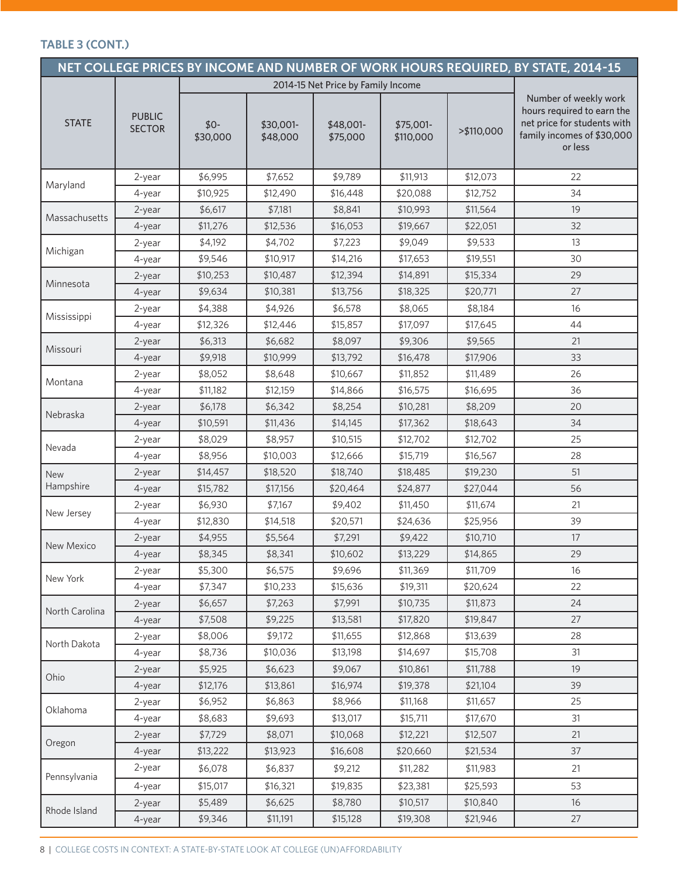### **TABLE 3 (CONT.)**

|                |                                |                   |                                    |                       |                        |            | NET COLLEGE PRICES BY INCOME AND NUMBER OF WORK HOURS REQUIRED, BY STATE, 2014-15                                           |
|----------------|--------------------------------|-------------------|------------------------------------|-----------------------|------------------------|------------|-----------------------------------------------------------------------------------------------------------------------------|
|                |                                |                   | 2014-15 Net Price by Family Income |                       |                        |            |                                                                                                                             |
| <b>STATE</b>   | <b>PUBLIC</b><br><b>SECTOR</b> | $$0-$<br>\$30,000 | \$30,001-<br>\$48,000              | \$48,001-<br>\$75,000 | \$75,001-<br>\$110,000 | >\$110,000 | Number of weekly work<br>hours required to earn the<br>net price for students with<br>family incomes of \$30,000<br>or less |
|                | 2-year                         | \$6,995           | \$7,652                            | \$9,789               | \$11,913               | \$12,073   | 22                                                                                                                          |
| Maryland       | 4-year                         | \$10,925          | \$12,490                           | \$16,448              | \$20,088               | \$12,752   | 34                                                                                                                          |
|                | 2-year                         | \$6,617           | \$7,181                            | \$8,841               | \$10,993               | \$11,564   | 19                                                                                                                          |
| Massachusetts  | 4-year                         | \$11,276          | \$12,536                           | \$16,053              | \$19,667               | \$22,051   | 32                                                                                                                          |
|                | 2-year                         | \$4,192           | \$4,702                            | \$7,223               | \$9,049                | \$9,533    | 13                                                                                                                          |
| Michigan       | 4-year                         | \$9,546           | \$10,917                           | \$14,216              | \$17,653               | \$19,551   | 30                                                                                                                          |
|                | 2-year                         | \$10,253          | \$10,487                           | \$12,394              | \$14,891               | \$15,334   | 29                                                                                                                          |
| Minnesota      | 4-year                         | \$9,634           | \$10,381                           | \$13,756              | \$18,325               | \$20,771   | 27                                                                                                                          |
| Mississippi    | 2-year                         | \$4,388           | \$4,926                            | \$6,578               | \$8,065                | \$8,184    | 16                                                                                                                          |
|                | 4-year                         | \$12,326          | \$12,446                           | \$15,857              | \$17,097               | \$17,645   | 44                                                                                                                          |
| Missouri       | 2-year                         | \$6,313           | \$6,682                            | \$8,097               | \$9,306                | \$9,565    | 21                                                                                                                          |
|                | 4-year                         | \$9,918           | \$10,999                           | \$13,792              | \$16,478               | \$17,906   | 33                                                                                                                          |
| Montana        | 2-year                         | \$8,052           | \$8,648                            | \$10,667              | \$11,852               | \$11,489   | 26                                                                                                                          |
|                | 4-year                         | \$11,182          | \$12,159                           | \$14,866              | \$16,575               | \$16,695   | 36                                                                                                                          |
| Nebraska       | 2-year                         | \$6,178           | \$6,342                            | \$8,254               | \$10,281               | \$8,209    | 20                                                                                                                          |
|                | 4-year                         | \$10,591          | \$11,436                           | \$14,145              | \$17,362               | \$18,643   | 34                                                                                                                          |
| Nevada         | 2-year                         | \$8,029           | \$8,957                            | \$10,515              | \$12,702               | \$12,702   | 25                                                                                                                          |
|                | 4-year                         | \$8,956           | \$10,003                           | \$12,666              | \$15,719               | \$16,567   | 28                                                                                                                          |
| <b>New</b>     | 2-year                         | \$14,457          | \$18,520                           | \$18,740              | \$18,485               | \$19,230   | 51                                                                                                                          |
| Hampshire      | 4-year                         | \$15,782          | \$17,156                           | \$20,464              | \$24,877               | \$27,044   | 56                                                                                                                          |
| New Jersey     | 2-year                         | \$6,930           | \$7,167                            | \$9,402               | \$11,450               | \$11,674   | 21                                                                                                                          |
|                | 4-year                         | \$12,830          | \$14,518                           | \$20,571              | \$24,636               | \$25,956   | 39                                                                                                                          |
| New Mexico     | 2-year                         | \$4,955           | \$5,564                            | \$7,291               | \$9,422                | \$10,710   | 17                                                                                                                          |
|                | 4-year                         | \$8,345           | \$8,341                            | \$10,602              | \$13,229               | \$14,865   | 29                                                                                                                          |
| New York       | 2-year                         | \$5,300           | \$6,575                            | \$9,696               | \$11,369               | \$11,709   | 16                                                                                                                          |
|                | 4-year                         | \$7,347           | \$10,233                           | \$15,636              | \$19,311               | \$20,624   | 22                                                                                                                          |
| North Carolina | 2-year                         | \$6,657           | \$7,263                            | \$7,991               | \$10,735               | \$11,873   | 24                                                                                                                          |
|                | 4-year                         | \$7,508           | \$9,225                            | \$13,581              | \$17,820               | \$19,847   | 27                                                                                                                          |
| North Dakota   | 2-year                         | \$8,006           | \$9,172                            | \$11,655              | \$12,868               | \$13,639   | 28                                                                                                                          |
|                | 4-year                         | \$8,736           | \$10,036                           | \$13,198              | \$14,697               | \$15,708   | 31                                                                                                                          |
| Ohio           | 2-year                         | \$5,925           | \$6,623                            | \$9,067               | \$10,861               | \$11,788   | 19                                                                                                                          |
|                | 4-year                         | \$12,176          | \$13,861                           | \$16,974              | \$19,378               | \$21,104   | 39                                                                                                                          |
| Oklahoma       | 2-year                         | \$6,952           | \$6,863                            | \$8,966               | \$11,168               | \$11,657   | 25                                                                                                                          |
|                | 4-year                         | \$8,683           | \$9,693                            | \$13,017              | \$15,711               | \$17,670   | 31                                                                                                                          |
| Oregon         | 2-year                         | \$7,729           | \$8,071                            | \$10,068              | \$12,221               | \$12,507   | 21                                                                                                                          |
|                | 4-year                         | \$13,222          | \$13,923                           | \$16,608              | \$20,660               | \$21,534   | 37                                                                                                                          |
| Pennsylvania   | 2-year                         | \$6,078           | \$6,837                            | \$9,212               | \$11,282               | \$11,983   | 21                                                                                                                          |
|                | 4-year                         | \$15,017          | \$16,321                           | \$19,835              | \$23,381               | \$25,593   | 53                                                                                                                          |
| Rhode Island   | 2-year                         | \$5,489           | \$6,625                            | \$8,780               | \$10,517               | \$10,840   | 16                                                                                                                          |
|                | 4-year                         | \$9,346           | \$11,191                           | \$15,128              | \$19,308               | \$21,946   | 27                                                                                                                          |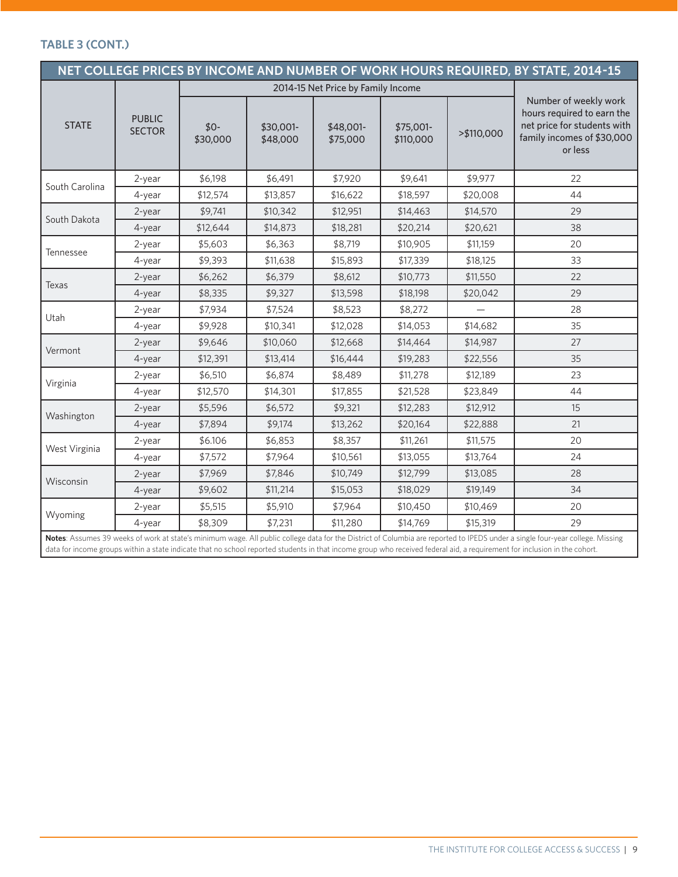#### **TABLE 3 (CONT.)**

| NET COLLEGE PRICES BY INCOME AND NUMBER OF WORK HOURS REQUIRED, BY STATE, 2014-15 |                                |                   |                       |                                    |                        |            |                                                                                                                                                                                                                                                                                                                                                            |  |  |  |
|-----------------------------------------------------------------------------------|--------------------------------|-------------------|-----------------------|------------------------------------|------------------------|------------|------------------------------------------------------------------------------------------------------------------------------------------------------------------------------------------------------------------------------------------------------------------------------------------------------------------------------------------------------------|--|--|--|
|                                                                                   |                                |                   |                       | 2014-15 Net Price by Family Income |                        |            |                                                                                                                                                                                                                                                                                                                                                            |  |  |  |
| <b>STATE</b>                                                                      | <b>PUBLIC</b><br><b>SECTOR</b> | $$0-$<br>\$30,000 | \$30,001-<br>\$48,000 | \$48,001-<br>\$75,000              | \$75,001-<br>\$110,000 | >\$110,000 | Number of weekly work<br>hours required to earn the<br>net price for students with<br>family incomes of \$30,000<br>or less                                                                                                                                                                                                                                |  |  |  |
|                                                                                   | 2-year                         | \$6,198           | \$6,491               | \$7,920                            | \$9,641                | \$9,977    | 22                                                                                                                                                                                                                                                                                                                                                         |  |  |  |
| South Carolina                                                                    | 4-year                         | \$12,574          | \$13,857              | \$16,622                           | \$18,597               | \$20,008   | 44                                                                                                                                                                                                                                                                                                                                                         |  |  |  |
|                                                                                   | 2-year                         | \$9,741           | \$10,342              | \$12,951                           | \$14,463               | \$14,570   | 29                                                                                                                                                                                                                                                                                                                                                         |  |  |  |
| South Dakota                                                                      | 4-year                         | \$12,644          | \$14,873              | \$18,281                           | \$20,214               | \$20,621   | 38                                                                                                                                                                                                                                                                                                                                                         |  |  |  |
|                                                                                   | 2-year                         | \$5,603           | \$6,363               | \$8,719                            | \$10,905               | \$11,159   | 20                                                                                                                                                                                                                                                                                                                                                         |  |  |  |
| Tennessee                                                                         | 4-year                         | \$9,393           | \$11,638              | \$15,893                           | \$17,339               | \$18,125   | 33                                                                                                                                                                                                                                                                                                                                                         |  |  |  |
|                                                                                   | 2-year                         | \$6,262           | \$6,379               | \$8,612                            | \$10,773               | \$11,550   | 22                                                                                                                                                                                                                                                                                                                                                         |  |  |  |
| Texas                                                                             | $4$ -year                      | \$8,335           | \$9,327               | \$13,598                           | \$18,198               | \$20,042   | 29                                                                                                                                                                                                                                                                                                                                                         |  |  |  |
|                                                                                   | 2-year                         | \$7,934           | \$7,524               | \$8,523                            | \$8,272                |            | 28                                                                                                                                                                                                                                                                                                                                                         |  |  |  |
| Utah                                                                              | 4-year                         | \$9,928           | \$10,341              | \$12,028                           | \$14,053               | \$14,682   | 35                                                                                                                                                                                                                                                                                                                                                         |  |  |  |
| Vermont                                                                           | 2-year                         | \$9,646           | \$10,060              | \$12,668                           | \$14,464               | \$14,987   | 27                                                                                                                                                                                                                                                                                                                                                         |  |  |  |
|                                                                                   | 4-year                         | \$12,391          | \$13,414              | \$16,444                           | \$19,283               | \$22,556   | 35                                                                                                                                                                                                                                                                                                                                                         |  |  |  |
|                                                                                   | 2-year                         | \$6,510           | \$6,874               | \$8,489                            | \$11,278               | \$12,189   | 23                                                                                                                                                                                                                                                                                                                                                         |  |  |  |
| Virginia                                                                          | 4-year                         | \$12,570          | \$14,301              | \$17,855                           | \$21,528               | \$23,849   | 44                                                                                                                                                                                                                                                                                                                                                         |  |  |  |
|                                                                                   | 2-year                         | \$5,596           | \$6,572               | \$9,321                            | \$12,283               | \$12,912   | 15                                                                                                                                                                                                                                                                                                                                                         |  |  |  |
| Washington                                                                        | 4-year                         | \$7,894           | \$9,174               | \$13,262                           | \$20,164               | \$22,888   | 21                                                                                                                                                                                                                                                                                                                                                         |  |  |  |
|                                                                                   | 2-year                         | \$6.106           | \$6,853               | \$8,357                            | \$11,261               | \$11,575   | 20                                                                                                                                                                                                                                                                                                                                                         |  |  |  |
| West Virginia                                                                     | 4-year                         | \$7,572           | \$7,964               | \$10,561                           | \$13,055               | \$13,764   | 24                                                                                                                                                                                                                                                                                                                                                         |  |  |  |
|                                                                                   | 2-year                         | \$7,969           | \$7,846               | \$10,749                           | \$12,799               | \$13,085   | 28                                                                                                                                                                                                                                                                                                                                                         |  |  |  |
| Wisconsin                                                                         | 4-year                         | \$9,602           | \$11,214              | \$15,053                           | \$18,029               | \$19,149   | 34                                                                                                                                                                                                                                                                                                                                                         |  |  |  |
|                                                                                   | 2-year                         | \$5,515           | \$5,910               | \$7,964                            | \$10,450               | \$10,469   | 20                                                                                                                                                                                                                                                                                                                                                         |  |  |  |
| Wyoming                                                                           | 4-year                         | \$8,309           | \$7,231               | \$11,280                           | \$14,769               | \$15,319   | 29                                                                                                                                                                                                                                                                                                                                                         |  |  |  |
|                                                                                   |                                |                   |                       |                                    |                        |            | Notes: Assumes 39 weeks of work at state's minimum wage. All public college data for the District of Columbia are reported to IPEDS under a single four-year college. Missing<br>data for income groups within a state indicate that no school reported students in that income group who received federal aid, a requirement for inclusion in the cohort. |  |  |  |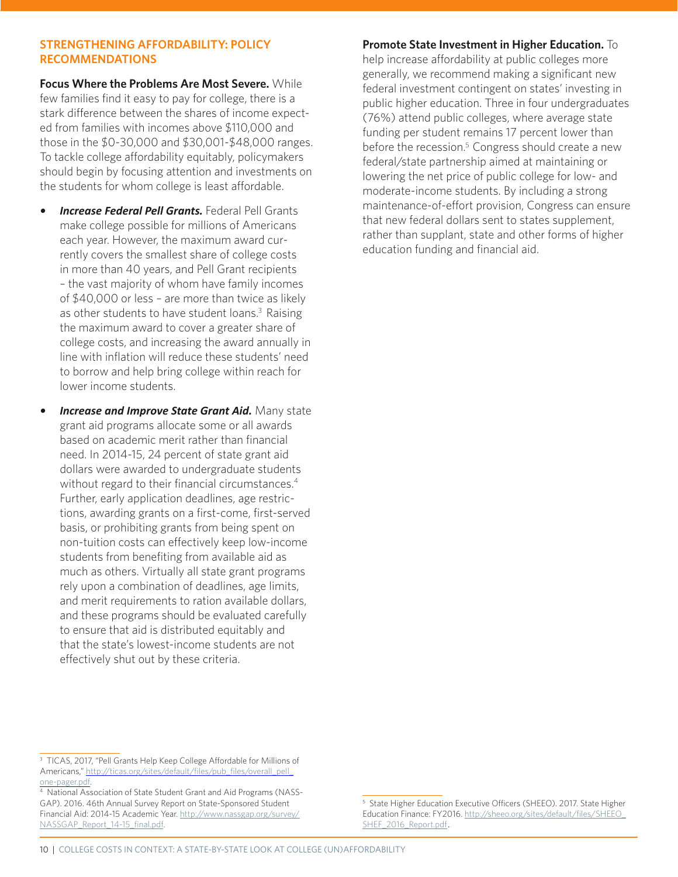#### **STRENGTHENING AFFORDABILITY: POLICY RECOMMENDATIONS**

**Focus Where the Problems Are Most Severe.** While few families find it easy to pay for college, there is a stark difference between the shares of income expected from families with incomes above \$110,000 and those in the \$0-30,000 and \$30,001-\$48,000 ranges. To tackle college affordability equitably, policymakers should begin by focusing attention and investments on the students for whom college is least affordable.

- *• Increase Federal Pell Grants.* Federal Pell Grants make college possible for millions of Americans each year. However, the maximum award currently covers the smallest share of college costs in more than 40 years, and Pell Grant recipients – the vast majority of whom have family incomes of \$40,000 or less – are more than twice as likely as other students to have student loans.<sup>3</sup> Raising the maximum award to cover a greater share of college costs, and increasing the award annually in line with inflation will reduce these students' need to borrow and help bring college within reach for lower income students.
- *• Increase and Improve State Grant Aid.* Many state grant aid programs allocate some or all awards based on academic merit rather than financial need. In 2014-15, 24 percent of state grant aid dollars were awarded to undergraduate students without regard to their financial circumstances.<sup>4</sup> Further, early application deadlines, age restrictions, awarding grants on a first-come, first-served basis, or prohibiting grants from being spent on non-tuition costs can effectively keep low-income students from benefiting from available aid as much as others. Virtually all state grant programs rely upon a combination of deadlines, age limits, and merit requirements to ration available dollars, and these programs should be evaluated carefully to ensure that aid is distributed equitably and that the state's lowest-income students are not effectively shut out by these criteria.

## **Promote State Investment in Higher Education.** To

help increase affordability at public colleges more generally, we recommend making a significant new federal investment contingent on states' investing in public higher education. Three in four undergraduates (76%) attend public colleges, where average state funding per student remains 17 percent lower than before the recession.<sup>5</sup> Congress should create a new federal/state partnership aimed at maintaining or lowering the net price of public college for low- and moderate-income students. By including a strong maintenance-of-effort provision, Congress can ensure that new federal dollars sent to states supplement, rather than supplant, state and other forms of higher education funding and financial aid.

<sup>&</sup>lt;sup>3</sup> TICAS, 2017, "Pell Grants Help Keep College Affordable for Millions of Americans," http://ticas.org/sites/default/files/pub\_files/overall\_pell\_

one-pager.pdf.<br><sup>4</sup> National Association of State Student Grant and Aid Programs (NASS-GAP). 2016. 46th Annual Survey Report on State-Sponsored Student [Financial Aid: 2014-15 Academic Year. http://www.nassgap.org/survey/](http://www.nassgap.org/survey/NASSGAP_Report_14-15_final.pdf) NASSGAP\_Report\_14-15\_final.pdf.

<sup>&</sup>lt;sup>5</sup> State Higher Education Executive Officers (SHEEO). 2017. State Higher Education Finance: FY2016. [http://sheeo.org/sites/default/files/SHEEO\\_](http://sheeo.org/sites/default/files/SHEEO_SHEF_2016_Report.pdf) SHEF\_2016\_Report.pdf.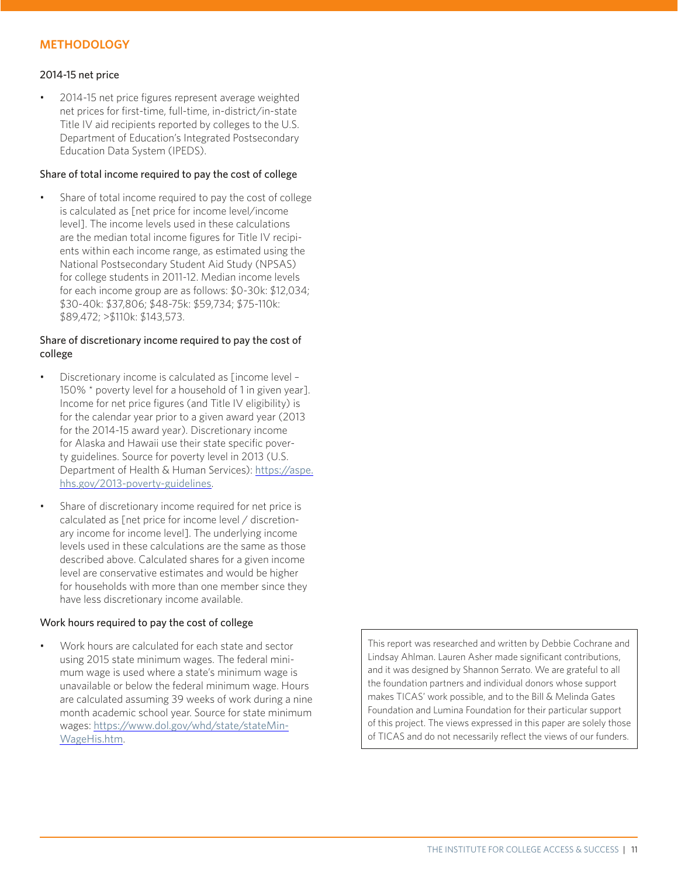#### **METHODOLOGY**

#### 2014-15 net price

• 2014-15 net price figures represent average weighted net prices for first-time, full-time, in-district/in-state Title IV aid recipients reported by colleges to the U.S. Department of Education's Integrated Postsecondary Education Data System (IPEDS).

#### Share of total income required to pay the cost of college

Share of total income required to pay the cost of college is calculated as [net price for income level/income level]. The income levels used in these calculations are the median total income figures for Title IV recipients within each income range, as estimated using the National Postsecondary Student Aid Study (NPSAS) for college students in 2011-12. Median income levels for each income group are as follows: \$0-30k: \$12,034; \$30-40k: \$37,806; \$48-75k: \$59,734; \$75-110k: \$89,472; >\$110k: \$143,573.

#### Share of discretionary income required to pay the cost of college

- Discretionary income is calculated as [income level 150% \* poverty level for a household of 1 in given year]. Income for net price figures (and Title IV eligibility) is for the calendar year prior to a given award year (2013 for the 2014-15 award year). Discretionary income for Alaska and Hawaii use their state specific poverty guidelines. Source for poverty level in 2013 (U.S. [Department of Health & Human Services\):](https://aspe.hhs.gov/2013-poverty-guidelines) https://aspe. hhs.gov/2013-poverty-guidelines.
- Share of discretionary income required for net price is calculated as [net price for income level / discretionary income for income level]. The underlying income levels used in these calculations are the same as those described above. Calculated shares for a given income level are conservative estimates and would be higher for households with more than one member since they have less discretionary income available.

#### Work hours required to pay the cost of college

• Work hours are calculated for each state and sector using 2015 state minimum wages. The federal minimum wage is used where a state's minimum wage is unavailable or below the federal minimum wage. Hours are calculated assuming 39 weeks of work during a nine month academic school year. Source for state minimum wages: [https://www.dol.gov/whd/state/stateMin-](https://www.dol.gov/whd/state/stateMinWageHis.htm)WageHis.htm.

This report was researched and written by Debbie Cochrane and Lindsay Ahlman. Lauren Asher made significant contributions, and it was designed by Shannon Serrato. We are grateful to all the foundation partners and individual donors whose support makes TICAS' work possible, and to the Bill & Melinda Gates Foundation and Lumina Foundation for their particular support of this project. The views expressed in this paper are solely those of TICAS and do not necessarily reflect the views of our funders.